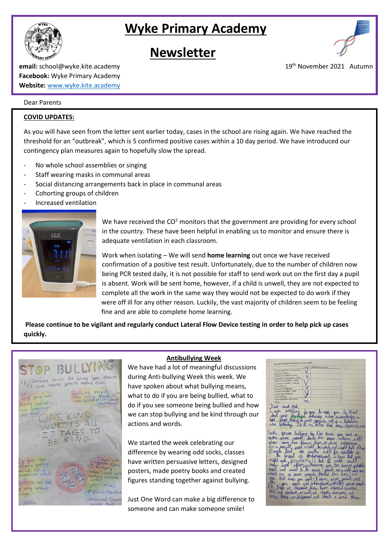# **Wyke Primary Academy**



 **Newsletter** 



**email:** school@wyke.kite.academy 19<sup>th</sup> November 2021 Autumn **Facebook:** Wyke Primary Academy **Website:** [www.wyke.kite.academy](http://www.wyke.kite.academy/)

## Dear Parents

## **COVID UPDATES:**

As you will have seen from the letter sent earlier today, cases in the school are rising again. We have reached the threshold for an "outbreak", which is 5 confirmed positive cases within a 10 day period. We have introduced our contingency plan measures again to hopefully slow the spread.

- No whole school assemblies or singing
- Staff wearing masks in communal areas
- Social distancing arrangements back in place in communal areas
- Cohorting groups of children
- Increased ventilation



We have received the  $CO<sup>2</sup>$  monitors that the government are providing for every school in the country. These have been helpful in enabling us to monitor and ensure there is adequate ventilation in each classroom.

Work when isolating – We will send **home learning** out once we have received confirmation of a positive test result. Unfortunately, due to the number of children now being PCR tested daily, it is not possible for staff to send work out on the first day a pupil is absent. Work will be sent home, however, if a child is unwell, they are not expected to complete all the work in the same way they would not be expected to do work if they were off ill for any other reason. Luckily, the vast majority of children seem to be feeling fine and are able to complete home learning.

**Please continue to be vigilant and regularly conduct Lateral Flow Device testing in order to help pick up cases quickly.**



## **Antibullying Week**

We have had a lot of meaningful discussions during Anti-bullying Week this week. We have spoken about what bullying means, what to do if you are being bullied, what to do if you see someone being bullied and how we can stop bullying and be kind through our actions and words.

We started the week celebrating our difference by wearing odd socks, classes have written persuasive letters, designed posters, made poetry books and created figures standing together against bullying.

Just One Word can make a big difference to someone and can make someone smile!

Deat small kill to you to use enton ull  $$ there are alway Karabas interest<br>Costole and night follow<br>ssmart I know that<br>but It could count<br>of cor two keesen mborressment<br>ull but It<br>Uhermore, Gor could but It could could<br>note gor this benson potably<br>it gried this hay? How<br>Iterated this hay? How<br>liveleved without women could one of your stripes that they have not not the<br>live more you sell to easy your street with the light<br>live you be discussed they have discrete stripes<br>live at discussed they have discrepose and<br>thing are discoved and that's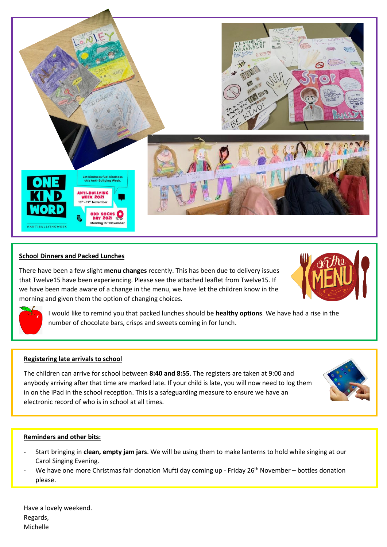

## **School Dinners and Packed Lunches**

There have been a few slight **menu changes** recently. This has been due to delivery issues that Twelve15 have been experiencing. Please see the attached leaflet from Twelve15. If we have been made aware of a change in the menu, we have let the children know in the morning and given them the option of changing choices.





I would like to remind you that packed lunches should be **healthy options**. We have had a rise in the number of chocolate bars, crisps and sweets coming in for lunch.

## **Registering late arrivals to school**

The children can arrive for school between **8:40 and 8:55**. The registers are taken at 9:00 and anybody arriving after that time are marked late. If your child is late, you will now need to log them in on the iPad in the school reception. This is a safeguarding measure to ensure we have an electronic record of who is in school at all times.



## **Reminders and other bits:**

- Start bringing in **clean, empty jam jars**. We will be using them to make lanterns to hold while singing at our Carol Singing Evening.
- We have one more Christmas fair donation Mufti day coming up Friday 26<sup>th</sup> November bottles donation please.

Have a lovely weekend. Regards, Michelle